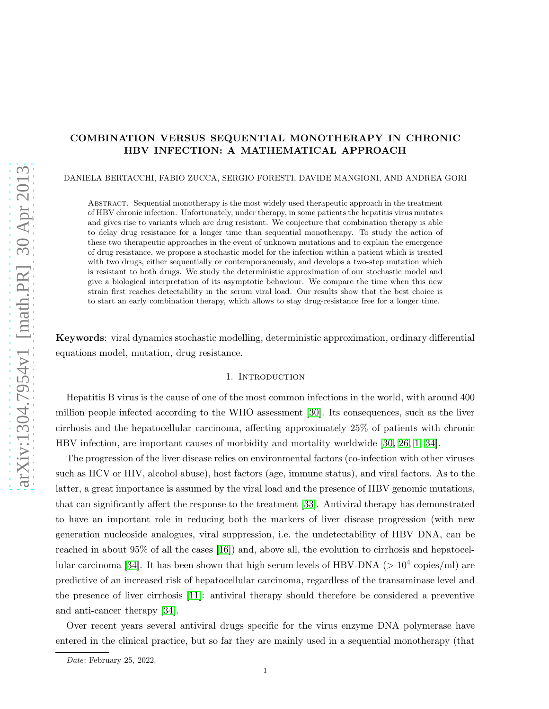# COMBINATION VERSUS SEQUENTIAL MONOTHERAPY IN CHRONIC HBV INFECTION: A MATHEMATICAL APPROACH

DANIELA BERTACCHI, FABIO ZUCCA, SERGIO FORESTI, DAVIDE MANGIONI, AND ANDREA GORI

Abstract. Sequential monotherapy is the most widely used therapeutic approach in the treatment of HBV chronic infection. Unfortunately, under therapy, in some patients the hepatitis virus mutates and gives rise to variants which are drug resistant. We conjecture that combination therapy is able to delay drug resistance for a longer time than sequential monotherapy. To study the action of these two therapeutic approaches in the event of unknown mutations and to explain the emergence of drug resistance, we propose a stochastic model for the infection within a patient which is treated with two drugs, either sequentially or contemporaneously, and develops a two-step mutation which is resistant to both drugs. We study the deterministic approximation of our stochastic model and give a biological interpretation of its asymptotic behaviour. We compare the time when this new strain first reaches detectability in the serum viral load. Our results show that the best choice is to start an early combination therapy, which allows to stay drug-resistance free for a longer time.

Keywords: viral dynamics stochastic modelling, deterministic approximation, ordinary differential equations model, mutation, drug resistance.

## 1. INTRODUCTION

Hepatitis B virus is the cause of one of the most common infections in the world, with around 400 million people infected according to the WHO assessment [\[30\]](#page-19-0). Its consequences, such as the liver cirrhosis and the hepatocellular carcinoma, affecting approximately 25% of patients with chronic HBV infection, are important causes of morbidity and mortality worldwide [\[30,](#page-19-0) [26,](#page-19-1) [1,](#page-18-0) [34\]](#page-19-2).

The progression of the liver disease relies on environmental factors (co-infection with other viruses such as HCV or HIV, alcohol abuse), host factors (age, immune status), and viral factors. As to the latter, a great importance is assumed by the viral load and the presence of HBV genomic mutations, that can significantly affect the response to the treatment [\[33\]](#page-19-3). Antiviral therapy has demonstrated to have an important role in reducing both the markers of liver disease progression (with new generation nucleoside analogues, viral suppression, i.e. the undetectability of HBV DNA, can be reached in about 95% of all the cases [\[16\]](#page-19-4)) and, above all, the evolution to cirrhosis and hepatocel-lular carcinoma [\[34\]](#page-19-2). It has been shown that high serum levels of HBV-DNA ( $>10^4$  copies/ml) are predictive of an increased risk of hepatocellular carcinoma, regardless of the transaminase level and the presence of liver cirrhosis [\[11\]](#page-19-5): antiviral therapy should therefore be considered a preventive and anti-cancer therapy [\[34\]](#page-19-2).

Over recent years several antiviral drugs specific for the virus enzyme DNA polymerase have entered in the clinical practice, but so far they are mainly used in a sequential monotherapy (that

Date: February 25, 2022.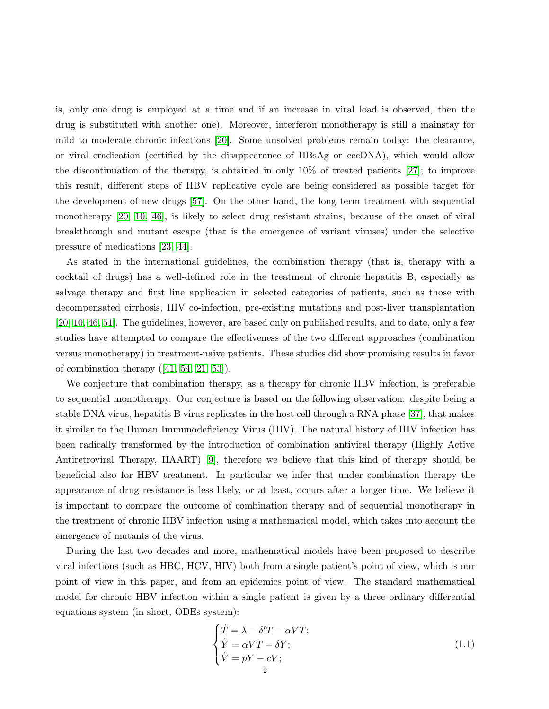is, only one drug is employed at a time and if an increase in viral load is observed, then the drug is substituted with another one). Moreover, interferon monotherapy is still a mainstay for mild to moderate chronic infections [\[20\]](#page-19-6). Some unsolved problems remain today: the clearance, or viral eradication (certified by the disappearance of HBsAg or cccDNA), which would allow the discontinuation of the therapy, is obtained in only 10% of treated patients [\[27\]](#page-19-7); to improve this result, different steps of HBV replicative cycle are being considered as possible target for the development of new drugs [\[57\]](#page-20-0). On the other hand, the long term treatment with sequential monotherapy [\[20,](#page-19-6) [10,](#page-19-8) [46\]](#page-20-1), is likely to select drug resistant strains, because of the onset of viral breakthrough and mutant escape (that is the emergence of variant viruses) under the selective pressure of medications [\[23,](#page-19-9) [44\]](#page-20-2).

As stated in the international guidelines, the combination therapy (that is, therapy with a cocktail of drugs) has a well-defined role in the treatment of chronic hepatitis B, especially as salvage therapy and first line application in selected categories of patients, such as those with decompensated cirrhosis, HIV co-infection, pre-existing mutations and post-liver transplantation [\[20,](#page-19-6) [10,](#page-19-8) [46,](#page-20-1) [51\]](#page-20-3). The guidelines, however, are based only on published results, and to date, only a few studies have attempted to compare the effectiveness of the two different approaches (combination versus monotherapy) in treatment-naive patients. These studies did show promising results in favor of combination therapy  $([41, 54, 21, 53])$  $([41, 54, 21, 53])$  $([41, 54, 21, 53])$  $([41, 54, 21, 53])$  $([41, 54, 21, 53])$  $([41, 54, 21, 53])$ .

We conjecture that combination therapy, as a therapy for chronic HBV infection, is preferable to sequential monotherapy. Our conjecture is based on the following observation: despite being a stable DNA virus, hepatitis B virus replicates in the host cell through a RNA phase [\[37\]](#page-19-11), that makes it similar to the Human Immunodeficiency Virus (HIV). The natural history of HIV infection has been radically transformed by the introduction of combination antiviral therapy (Highly Active Antiretroviral Therapy, HAART) [\[9\]](#page-18-1), therefore we believe that this kind of therapy should be beneficial also for HBV treatment. In particular we infer that under combination therapy the appearance of drug resistance is less likely, or at least, occurs after a longer time. We believe it is important to compare the outcome of combination therapy and of sequential monotherapy in the treatment of chronic HBV infection using a mathematical model, which takes into account the emergence of mutants of the virus.

During the last two decades and more, mathematical models have been proposed to describe viral infections (such as HBC, HCV, HIV) both from a single patient's point of view, which is our point of view in this paper, and from an epidemics point of view. The standard mathematical model for chronic HBV infection within a single patient is given by a three ordinary differential equations system (in short, ODEs system):

$$
\begin{cases}\n\dot{T} = \lambda - \delta' T - \alpha V T; \\
\dot{Y} = \alpha V T - \delta Y; \\
\dot{V} = pY - cV; \\
2\n\end{cases}
$$
\n(1.1)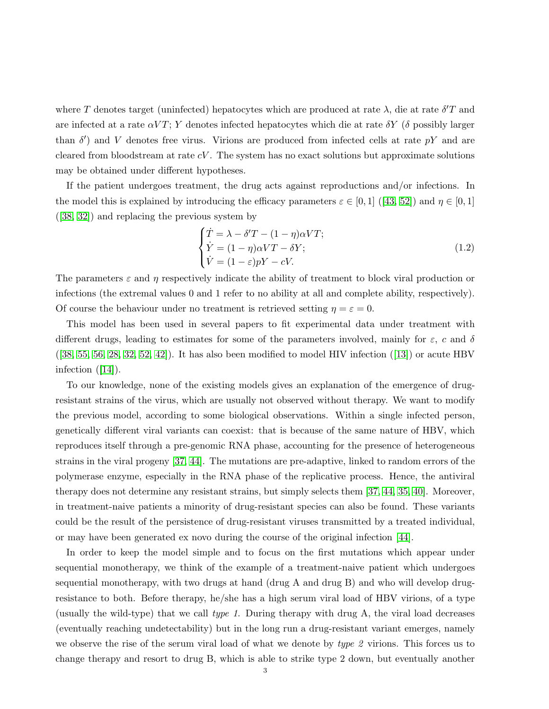where T denotes target (uninfected) hepatocytes which are produced at rate  $\lambda$ , die at rate  $\delta'$ T and are infected at a rate  $\alpha VT$ ; Y denotes infected hepatocytes which die at rate  $\delta Y$  ( $\delta$  possibly larger than  $\delta'$ ) and V denotes free virus. Virions are produced from infected cells at rate  $pY$  and are cleared from bloodstream at rate  $cV$ . The system has no exact solutions but approximate solutions may be obtained under different hypotheses.

If the patient undergoes treatment, the drug acts against reproductions and/or infections. In the model this is explained by introducing the efficacy parameters  $\varepsilon \in [0,1]$  ([\[43,](#page-20-7) [52\]](#page-20-8)) and  $\eta \in [0,1]$ ([\[38,](#page-19-12) [32\]](#page-19-13)) and replacing the previous system by

<span id="page-2-0"></span>
$$
\begin{cases}\n\dot{T} = \lambda - \delta' T - (1 - \eta)\alpha V T; \\
\dot{Y} = (1 - \eta)\alpha V T - \delta Y; \\
\dot{V} = (1 - \varepsilon)pY - cV.\n\end{cases}
$$
\n(1.2)

The parameters  $\varepsilon$  and  $\eta$  respectively indicate the ability of treatment to block viral production or infections (the extremal values 0 and 1 refer to no ability at all and complete ability, respectively). Of course the behaviour under no treatment is retrieved setting  $\eta = \varepsilon = 0$ .

This model has been used in several papers to fit experimental data under treatment with different drugs, leading to estimates for some of the parameters involved, mainly for  $\varepsilon$ , c and  $\delta$  $([38, 55, 56, 28, 32, 52, 42])$  $([38, 55, 56, 28, 32, 52, 42])$  $([38, 55, 56, 28, 32, 52, 42])$  $([38, 55, 56, 28, 32, 52, 42])$  $([38, 55, 56, 28, 32, 52, 42])$  $([38, 55, 56, 28, 32, 52, 42])$  $([38, 55, 56, 28, 32, 52, 42])$  $([38, 55, 56, 28, 32, 52, 42])$  $([38, 55, 56, 28, 32, 52, 42])$ . It has also been modified to model HIV infection  $([13])$  $([13])$  $([13])$  or acute HBV infection  $([14])$  $([14])$  $([14])$ .

To our knowledge, none of the existing models gives an explanation of the emergence of drugresistant strains of the virus, which are usually not observed without therapy. We want to modify the previous model, according to some biological observations. Within a single infected person, genetically different viral variants can coexist: that is because of the same nature of HBV, which reproduces itself through a pre-genomic RNA phase, accounting for the presence of heterogeneous strains in the viral progeny [\[37,](#page-19-11) [44\]](#page-20-2). The mutations are pre-adaptive, linked to random errors of the polymerase enzyme, especially in the RNA phase of the replicative process. Hence, the antiviral therapy does not determine any resistant strains, but simply selects them [\[37,](#page-19-11) [44,](#page-20-2) [35,](#page-19-17) [40\]](#page-20-12). Moreover, in treatment-naive patients a minority of drug-resistant species can also be found. These variants could be the result of the persistence of drug-resistant viruses transmitted by a treated individual, or may have been generated ex novo during the course of the original infection [\[44\]](#page-20-2).

In order to keep the model simple and to focus on the first mutations which appear under sequential monotherapy, we think of the example of a treatment-naive patient which undergoes sequential monotherapy, with two drugs at hand (drug A and drug B) and who will develop drugresistance to both. Before therapy, he/she has a high serum viral load of HBV virions, of a type (usually the wild-type) that we call type 1. During therapy with drug  $A$ , the viral load decreases (eventually reaching undetectability) but in the long run a drug-resistant variant emerges, namely we observe the rise of the serum viral load of what we denote by type 2 virions. This forces us to change therapy and resort to drug B, which is able to strike type 2 down, but eventually another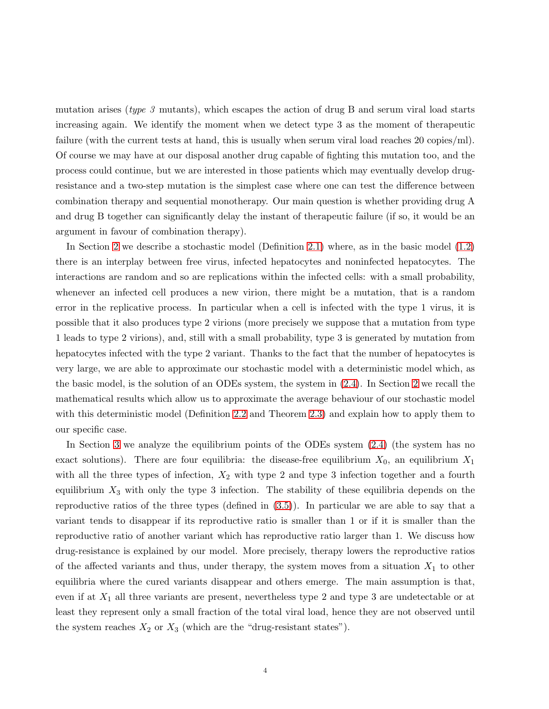mutation arises (*type 3* mutants), which escapes the action of drug B and serum viral load starts increasing again. We identify the moment when we detect type 3 as the moment of therapeutic failure (with the current tests at hand, this is usually when serum viral load reaches 20 copies/ml). Of course we may have at our disposal another drug capable of fighting this mutation too, and the process could continue, but we are interested in those patients which may eventually develop drugresistance and a two-step mutation is the simplest case where one can test the difference between combination therapy and sequential monotherapy. Our main question is whether providing drug A and drug B together can significantly delay the instant of therapeutic failure (if so, it would be an argument in favour of combination therapy).

In Section [2](#page-4-0) we describe a stochastic model (Definition [2.1\)](#page-6-0) where, as in the basic model [\(1.2\)](#page-2-0) there is an interplay between free virus, infected hepatocytes and noninfected hepatocytes. The interactions are random and so are replications within the infected cells: with a small probability, whenever an infected cell produces a new virion, there might be a mutation, that is a random error in the replicative process. In particular when a cell is infected with the type 1 virus, it is possible that it also produces type 2 virions (more precisely we suppose that a mutation from type 1 leads to type 2 virions), and, still with a small probability, type 3 is generated by mutation from hepatocytes infected with the type 2 variant. Thanks to the fact that the number of hepatocytes is very large, we are able to approximate our stochastic model with a deterministic model which, as the basic model, is the solution of an ODEs system, the system in [\(2.4\)](#page-8-0). In Section [2](#page-4-0) we recall the mathematical results which allow us to approximate the average behaviour of our stochastic model with this deterministic model (Definition [2.2](#page-6-1) and Theorem [2.3\)](#page-7-0) and explain how to apply them to our specific case.

In Section [3](#page-8-1) we analyze the equilibrium points of the ODEs system [\(2.4\)](#page-8-0) (the system has no exact solutions). There are four equilibria: the disease-free equilibrium  $X_0$ , an equilibrium  $X_1$ with all the three types of infection,  $X_2$  with type 2 and type 3 infection together and a fourth equilibrium  $X_3$  with only the type 3 infection. The stability of these equilibria depends on the reproductive ratios of the three types (defined in [\(3.5\)](#page-9-0)). In particular we are able to say that a variant tends to disappear if its reproductive ratio is smaller than 1 or if it is smaller than the reproductive ratio of another variant which has reproductive ratio larger than 1. We discuss how drug-resistance is explained by our model. More precisely, therapy lowers the reproductive ratios of the affected variants and thus, under therapy, the system moves from a situation  $X_1$  to other equilibria where the cured variants disappear and others emerge. The main assumption is that, even if at  $X_1$  all three variants are present, nevertheless type 2 and type 3 are undetectable or at least they represent only a small fraction of the total viral load, hence they are not observed until the system reaches  $X_2$  or  $X_3$  (which are the "drug-resistant states").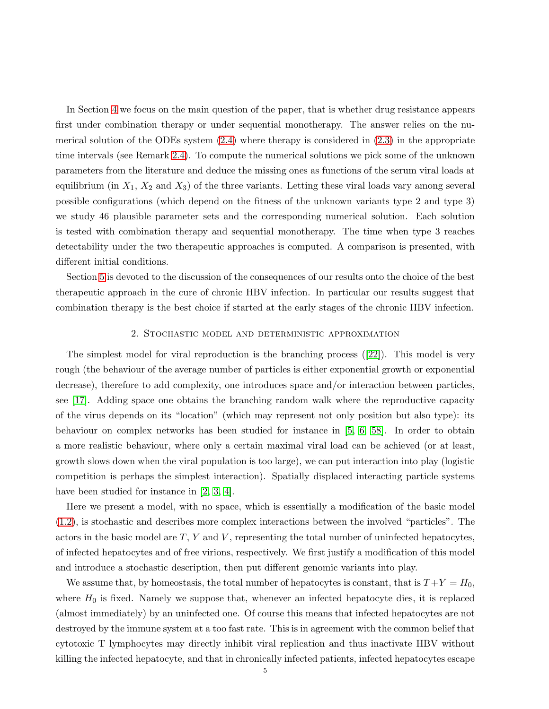In Section [4](#page-12-0) we focus on the main question of the paper, that is whether drug resistance appears first under combination therapy or under sequential monotherapy. The answer relies on the numerical solution of the ODEs system  $(2.4)$  where therapy is considered in  $(2.3)$  in the appropriate time intervals (see Remark [2.4\)](#page-8-2). To compute the numerical solutions we pick some of the unknown parameters from the literature and deduce the missing ones as functions of the serum viral loads at equilibrium (in  $X_1, X_2$  and  $X_3$ ) of the three variants. Letting these viral loads vary among several possible configurations (which depend on the fitness of the unknown variants type 2 and type 3) we study 46 plausible parameter sets and the corresponding numerical solution. Each solution is tested with combination therapy and sequential monotherapy. The time when type 3 reaches detectability under the two therapeutic approaches is computed. A comparison is presented, with different initial conditions.

<span id="page-4-0"></span>Section [5](#page-15-0) is devoted to the discussion of the consequences of our results onto the choice of the best therapeutic approach in the cure of chronic HBV infection. In particular our results suggest that combination therapy is the best choice if started at the early stages of the chronic HBV infection.

### 2. Stochastic model and deterministic approximation

The simplest model for viral reproduction is the branching process ([\[22\]](#page-19-18)). This model is very rough (the behaviour of the average number of particles is either exponential growth or exponential decrease), therefore to add complexity, one introduces space and/or interaction between particles, see [\[17\]](#page-19-19). Adding space one obtains the branching random walk where the reproductive capacity of the virus depends on its "location" (which may represent not only position but also type): its behaviour on complex networks has been studied for instance in [\[5,](#page-18-2) [6,](#page-18-3) [58\]](#page-20-13). In order to obtain a more realistic behaviour, where only a certain maximal viral load can be achieved (or at least, growth slows down when the viral population is too large), we can put interaction into play (logistic competition is perhaps the simplest interaction). Spatially displaced interacting particle systems have been studied for instance in [\[2,](#page-18-4) [3,](#page-18-5) [4\]](#page-18-6).

Here we present a model, with no space, which is essentially a modification of the basic model [\(1.2\)](#page-2-0), is stochastic and describes more complex interactions between the involved "particles". The actors in the basic model are  $T$ ,  $Y$  and  $V$ , representing the total number of uninfected hepatocytes, of infected hepatocytes and of free virions, respectively. We first justify a modification of this model and introduce a stochastic description, then put different genomic variants into play.

We assume that, by homeostasis, the total number of hepatocytes is constant, that is  $T + Y = H_0$ , where  $H_0$  is fixed. Namely we suppose that, whenever an infected hepatocyte dies, it is replaced (almost immediately) by an uninfected one. Of course this means that infected hepatocytes are not destroyed by the immune system at a too fast rate. This is in agreement with the common belief that cytotoxic T lymphocytes may directly inhibit viral replication and thus inactivate HBV without killing the infected hepatocyte, and that in chronically infected patients, infected hepatocytes escape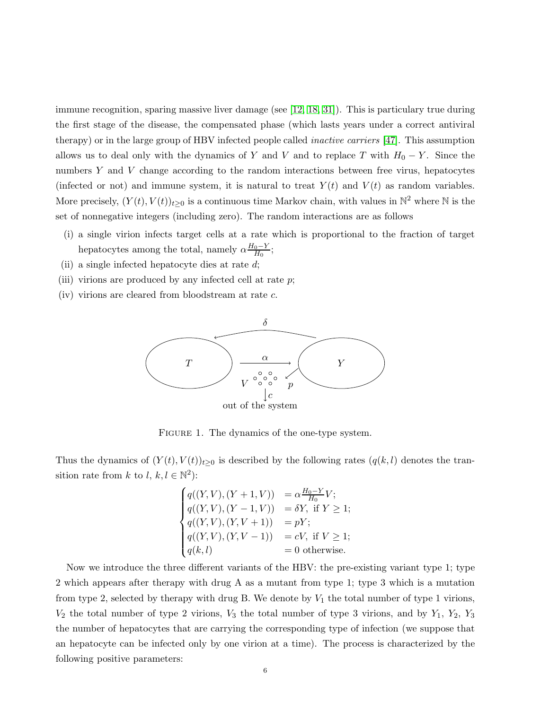immune recognition, sparing massive liver damage (see [\[12,](#page-19-20) [18,](#page-19-21) [31\]](#page-19-22)). This is particulary true during the first stage of the disease, the compensated phase (which lasts years under a correct antiviral therapy) or in the large group of HBV infected people called inactive carriers [\[47\]](#page-20-14). This assumption allows us to deal only with the dynamics of Y and V and to replace T with  $H_0 - Y$ . Since the numbers Y and V change according to the random interactions between free virus, hepatocytes (infected or not) and immune system, it is natural to treat  $Y(t)$  and  $V(t)$  as random variables. More precisely,  $(Y(t), V(t))_{t\geq 0}$  is a continuous time Markov chain, with values in  $\mathbb{N}^2$  where  $\mathbb N$  is the set of nonnegative integers (including zero). The random interactions are as follows

- (i) a single virion infects target cells at a rate which is proportional to the fraction of target hepatocytes among the total, namely  $\alpha \frac{H_0 - Y}{H_0}$  $\frac{0-Y}{H_0};$
- (ii) a single infected hepatocyte dies at rate  $d$ ;
- (iii) virions are produced by any infected cell at rate  $p$ ;
- (iv) virions are cleared from bloodstream at rate c.



FIGURE 1. The dynamics of the one-type system.

Thus the dynamics of  $(Y(t), V(t))_{t\geq 0}$  is described by the following rates  $(q(k, l))$  denotes the transition rate from k to l,  $k, l \in \mathbb{N}^2$ :

$$
\begin{cases}\n q((Y,V),(Y+1,V)) &= \alpha \frac{H_0 - Y}{H_0}V; \\
 q((Y,V),(Y-1,V)) &= \delta Y, \text{ if } Y \ge 1; \\
 q((Y,V),(Y,V+1)) &= pY; \\
 q((Y,V),(Y,V-1)) &= cV, \text{ if } V \ge 1; \\
 q(k,l) &= 0 \text{ otherwise.} \n\end{cases}
$$

Now we introduce the three different variants of the HBV: the pre-existing variant type 1; type 2 which appears after therapy with drug A as a mutant from type 1; type 3 which is a mutation from type 2, selected by therapy with drug B. We denote by  $V_1$  the total number of type 1 virions,  $V_2$  the total number of type 2 virions,  $V_3$  the total number of type 3 virions, and by  $Y_1$ ,  $Y_2$ ,  $Y_3$ the number of hepatocytes that are carrying the corresponding type of infection (we suppose that an hepatocyte can be infected only by one virion at a time). The process is characterized by the following positive parameters: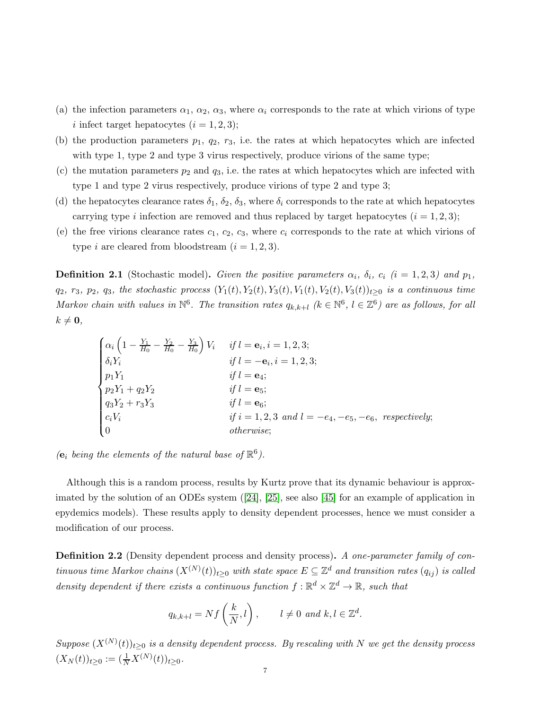- (a) the infection parameters  $\alpha_1, \alpha_2, \alpha_3$ , where  $\alpha_i$  corresponds to the rate at which virions of type i infect target hepatocytes  $(i = 1, 2, 3);$
- (b) the production parameters  $p_1$ ,  $q_2$ ,  $r_3$ , i.e. the rates at which hepatocytes which are infected with type 1, type 2 and type 3 virus respectively, produce virions of the same type;
- (c) the mutation parameters  $p_2$  and  $q_3$ , i.e. the rates at which hepatocytes which are infected with type 1 and type 2 virus respectively, produce virions of type 2 and type 3;
- (d) the hepatocytes clearance rates  $\delta_1$ ,  $\delta_2$ ,  $\delta_3$ , where  $\delta_i$  corresponds to the rate at which hepatocytes carrying type i infection are removed and thus replaced by target hepatocytes  $(i = 1, 2, 3)$ ;
- (e) the free virions clearance rates  $c_1, c_2, c_3$ , where  $c_i$  corresponds to the rate at which virions of type *i* are cleared from bloodstream  $(i = 1, 2, 3)$ .

<span id="page-6-0"></span>**Definition 2.1** (Stochastic model). Given the positive parameters  $\alpha_i$ ,  $\delta_i$ ,  $c_i$  (i = 1, 2, 3) and  $p_1$ ,  $q_2, r_3, p_2, q_3$ , the stochastic process  $(Y_1(t), Y_2(t), Y_3(t), Y_1(t), Y_2(t), Y_3(t))_{t\geq 0}$  is a continuous time Markov chain with values in  $\mathbb{N}^6$ . The transition rates  $q_{k,k+l}$  ( $k \in \mathbb{N}^6$ ,  $l \in \mathbb{Z}^6$ ) are as follows, for all  $k \neq \mathbf{0},$ 

$$
\begin{cases}\n\alpha_i \left(1 - \frac{Y_1}{H_0} - \frac{Y_2}{H_0} - \frac{Y_3}{H_0}\right) V_i & \text{if } l = \mathbf{e}_i, i = 1, 2, 3; \\
\delta_i Y_i & \text{if } l = -\mathbf{e}_i, i = 1, 2, 3; \\
p_1 Y_1 & \text{if } l = \mathbf{e}_4; \\
p_2 Y_1 + q_2 Y_2 & \text{if } l = \mathbf{e}_5; \\
q_3 Y_2 + r_3 Y_3 & \text{if } l = \mathbf{e}_6; \\
c_i V_i & \text{if } i = 1, 2, 3 \text{ and } l = -e_4, -e_5, -e_6, \text{ respectively}; \\
0 & \text{otherwise};\n\end{cases}
$$

( $\mathbf{e}_i$  being the elements of the natural base of  $\mathbb{R}^6$ ).

Although this is a random process, results by Kurtz prove that its dynamic behaviour is approximated by the solution of an ODEs system ([\[24\]](#page-19-23), [\[25\]](#page-19-24), see also [\[45\]](#page-20-15) for an example of application in epydemics models). These results apply to density dependent processes, hence we must consider a modification of our process.

<span id="page-6-1"></span>Definition 2.2 (Density dependent process and density process). A one-parameter family of continuous time Markov chains  $(X^{(N)}(t))_{t\geq 0}$  with state space  $E\subseteq \mathbb{Z}^d$  and transition rates  $(q_{ij})$  is called density dependent if there exists a continuous function  $f : \mathbb{R}^d \times \mathbb{Z}^d \to \mathbb{R}$ , such that

$$
q_{k,k+l} = Nf\left(\frac{k}{N}, l\right), \qquad l \neq 0 \text{ and } k, l \in \mathbb{Z}^d.
$$

Suppose  $(X^{(N)}(t))_{t\geq0}$  is a density dependent process. By rescaling with N we get the density process  $(X_N(t))_{t\geq 0} := (\frac{1}{N}X^{(N)}(t))_{t\geq 0}.$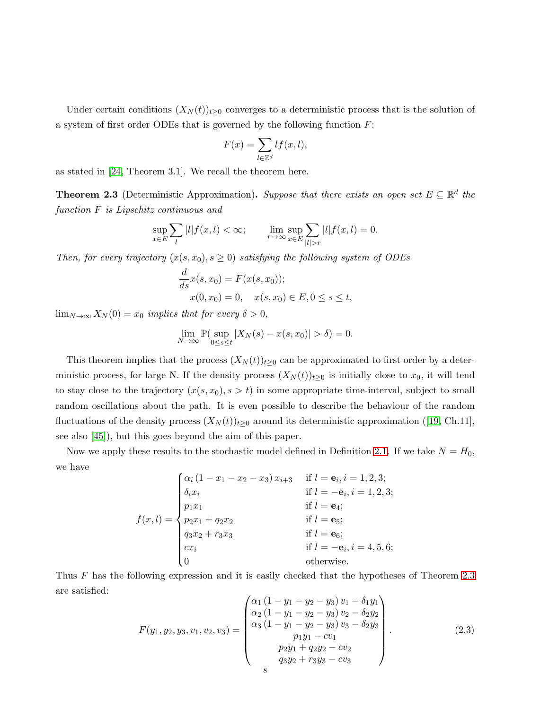Under certain conditions  $(X_N(t))_{t\geq 0}$  converges to a deterministic process that is the solution of a system of first order ODEs that is governed by the following function  $F$ :

$$
F(x) = \sum_{l \in \mathbb{Z}^d} l f(x, l),
$$

as stated in [\[24,](#page-19-23) Theorem 3.1]. We recall the theorem here.

<span id="page-7-0"></span>**Theorem 2.3** (Deterministic Approximation). Suppose that there exists an open set  $E \subseteq \mathbb{R}^d$  the function F is Lipschitz continuous and

$$
\sup_{x \in E} \sum_{l} |l| f(x, l) < \infty; \qquad \lim_{r \to \infty} \sup_{x \in E} \sum_{|l| > r} |l| f(x, l) = 0.
$$

Then, for every trajectory  $(x(s, x_0), s \ge 0)$  satisfying the following system of ODEs

$$
\frac{d}{ds}x(s, x_0) = F(x(s, x_0));
$$
  
 
$$
x(0, x_0) = 0, \quad x(s, x_0) \in E, 0 \le s \le t,
$$

 $\lim_{N\to\infty}X_N(0)=x_0$  implies that for every  $\delta>0$ ,

$$
\lim_{N \to \infty} \mathbb{P}(\sup_{0 \le s \le t} |X_N(s) - x(s, x_0)| > \delta) = 0.
$$

This theorem implies that the process  $(X_N(t))_{t\geq0}$  can be approximated to first order by a deterministic process, for large N. If the density process  $(X_N(t))_{t\geq 0}$  is initially close to  $x_0$ , it will tend to stay close to the trajectory  $(x(s, x_0), s > t)$  in some appropriate time-interval, subject to small random oscillations about the path. It is even possible to describe the behaviour of the random fluctuations of the density process  $(X_N(t))_{t\geq 0}$  around its deterministic approximation ([\[19,](#page-19-25) Ch.11], see also [\[45\]](#page-20-15)), but this goes beyond the aim of this paper.

Now we apply these results to the stochastic model defined in Definition [2.1.](#page-6-0) If we take  $N = H_0$ , we have

> $f(x, l) =$  $\sqrt{ }$  $\begin{array}{c} \hline \end{array}$  $\begin{array}{c} \hline \end{array}$  $\alpha_i (1 - x_1 - x_2 - x_3) x_{i+3}$  if  $l = e_i, i = 1, 2, 3;$  $\delta_i x_i$  if  $l = -e_i, i = 1, 2, 3;$  $p_1x_1$  if  $l = e_4;$  $p_2x_1 + q_2x_2$  if  $l = e_5;$  $q_3x_2 + r_3x_3$  if  $l = \mathbf{e}_6;$ cx<sub>i</sub> if  $l = -e_i, i = 4, 5, 6;$ otherwise.

Thus F has the following expression and it is easily checked that the hypotheses of Theorem [2.3](#page-7-0) are satisfied:  $\lambda$ 

<span id="page-7-1"></span>
$$
F(y_1, y_2, y_3, v_1, v_2, v_3) = \begin{pmatrix} \alpha_1 (1 - y_1 - y_2 - y_3) v_1 - \delta_1 y_1 \\ \alpha_2 (1 - y_1 - y_2 - y_3) v_2 - \delta_2 y_2 \\ \alpha_3 (1 - y_1 - y_2 - y_3) v_3 - \delta_2 y_3 \\ p_1 y_1 - c v_1 \\ p_2 y_1 + q_2 y_2 - c v_2 \\ q_3 y_2 + r_3 y_3 - c v_3 \end{pmatrix} .
$$
 (2.3)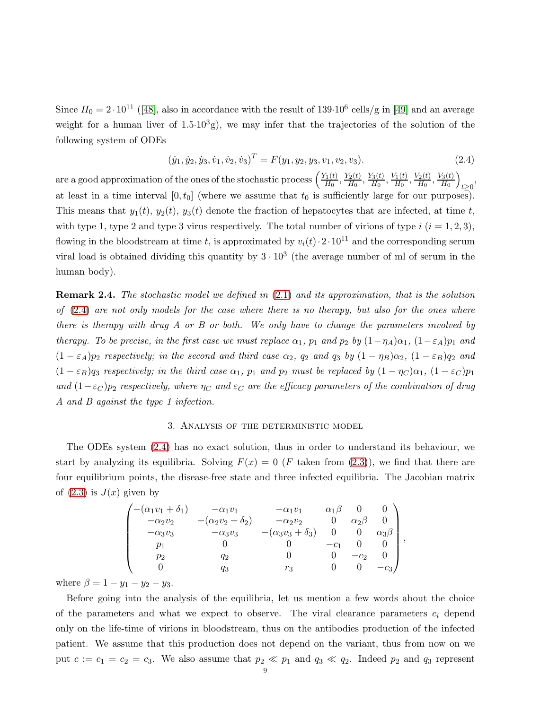Since  $H_0 = 2 \cdot 10^{11}$  ([\[48\]](#page-20-16), also in accordance with the result of 139 $\cdot 10^6$  cells/g in [\[49\]](#page-20-17) and an average weight for a human liver of  $1.5 \cdot 10^3$ g), we may infer that the trajectories of the solution of the following system of ODEs

<span id="page-8-0"></span>
$$
(\dot{y}_1, \dot{y}_2, \dot{y}_3, \dot{v}_1, \dot{v}_2, \dot{v}_3)^T = F(y_1, y_2, y_3, v_1, v_2, v_3). \tag{2.4}
$$

are a good approximation of the ones of the stochastic process  $\left(\frac{Y_1(t)}{H_0}\right)$  $\frac{Y_1(t)}{H_0}, \frac{Y_2(t)}{H_0}$  $\frac{Y_2(t)}{H_0}, \frac{Y_3(t)}{H_0}$  $\frac{V_3(t)}{H_0}, \frac{V_1(t)}{H_0}$  $\frac{V_1(t)}{H_0}, \frac{V_2(t)}{H_0}$  $\frac{V_{2}(t)}{H_{0}}, \frac{V_{3}(t)}{H_{0}}$  $\frac{\sqrt{3}(t)}{H_0}\bigg)$  $t \geq 0$ at least in a time interval  $[0, t_0]$  (where we assume that  $t_0$  is sufficiently large for our purposes). This means that  $y_1(t)$ ,  $y_2(t)$ ,  $y_3(t)$  denote the fraction of hepatocytes that are infected, at time t, with type 1, type 2 and type 3 virus respectively. The total number of virions of type  $i$   $(i = 1, 2, 3)$ , flowing in the bloodstream at time t, is approximated by  $v_i(t) \cdot 2 \cdot 10^{11}$  and the corresponding serum viral load is obtained dividing this quantity by  $3 \cdot 10^3$  (the average number of ml of serum in the human body).

<span id="page-8-2"></span>Remark 2.4. The stochastic model we defined in [\(2.1\)](#page-6-0) and its approximation, that is the solution of  $(2.4)$  are not only models for the case where there is no therapy, but also for the ones where there is therapy with drug A or B or both. We only have to change the parameters involved by therapy. To be precise, in the first case we must replace  $\alpha_1$ ,  $p_1$  and  $p_2$  by  $(1-\eta_A)\alpha_1$ ,  $(1-\varepsilon_A)p_1$  and  $(1 - \varepsilon_A)p_2$  respectively; in the second and third case  $\alpha_2$ ,  $q_2$  and  $q_3$  by  $(1 - \eta_B)\alpha_2$ ,  $(1 - \varepsilon_B)q_2$  and  $(1 - \varepsilon_B)q_3$  respectively; in the third case  $\alpha_1$ ,  $p_1$  and  $p_2$  must be replaced by  $(1 - \eta_C)\alpha_1$ ,  $(1 - \varepsilon_C)p_1$ and  $(1-\varepsilon_C)p_2$  respectively, where  $\eta_C$  and  $\varepsilon_C$  are the efficacy parameters of the combination of drug A and B against the type 1 infection.

### 3. Analysis of the deterministic model

<span id="page-8-1"></span>The ODEs system [\(2.4\)](#page-8-0) has no exact solution, thus in order to understand its behaviour, we start by analyzing its equilibria. Solving  $F(x) = 0$  (F taken from [\(2.3\)](#page-7-1)), we find that there are four equilibrium points, the disease-free state and three infected equilibria. The Jacobian matrix of  $(2.3)$  is  $J(x)$  given by

$$
\begin{pmatrix}\n-(\alpha_1v_1 + \delta_1) & -\alpha_1v_1 & -\alpha_1v_1 & \alpha_1\beta & 0 & 0 \\
-\alpha_2v_2 & -(\alpha_2v_2 + \delta_2) & -\alpha_2v_2 & 0 & \alpha_2\beta & 0 \\
-\alpha_3v_3 & -\alpha_3v_3 & -(\alpha_3v_3 + \delta_3) & 0 & 0 & \alpha_3\beta \\
p_1 & 0 & 0 & -c_1 & 0 & 0 \\
p_2 & q_2 & 0 & 0 & -c_2 & 0 \\
0 & q_3 & r_3 & 0 & 0 & -c_3\n\end{pmatrix}
$$

,

where  $\beta = 1 - y_1 - y_2 - y_3$ .

Before going into the analysis of the equilibria, let us mention a few words about the choice of the parameters and what we expect to observe. The viral clearance parameters  $c_i$  depend only on the life-time of virions in bloodstream, thus on the antibodies production of the infected patient. We assume that this production does not depend on the variant, thus from now on we put  $c := c_1 = c_2 = c_3$ . We also assume that  $p_2 \ll p_1$  and  $q_3 \ll q_2$ . Indeed  $p_2$  and  $q_3$  represent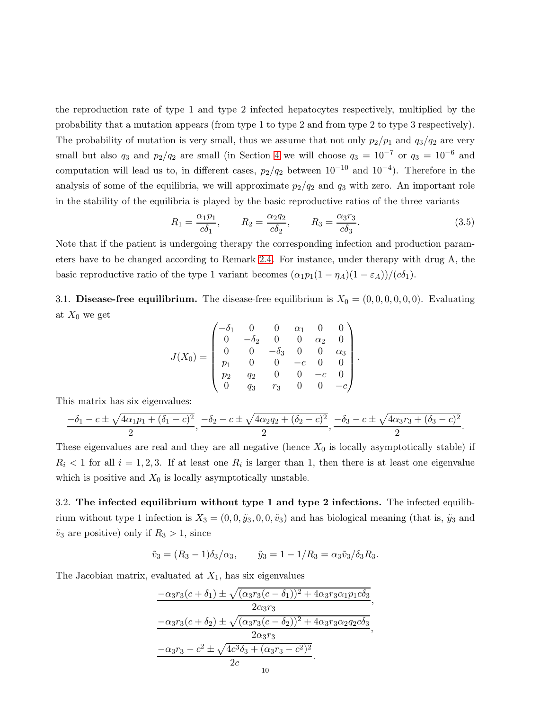the reproduction rate of type 1 and type 2 infected hepatocytes respectively, multiplied by the probability that a mutation appears (from type 1 to type 2 and from type 2 to type 3 respectively). The probability of mutation is very small, thus we assume that not only  $p_2/p_1$  and  $q_3/q_2$  are very small but also  $q_3$  and  $p_2/q_2$  are small (in Section [4](#page-12-0) we will choose  $q_3 = 10^{-7}$  or  $q_3 = 10^{-6}$  and computation will lead us to, in different cases,  $p_2/q_2$  between  $10^{-10}$  and  $10^{-4}$ ). Therefore in the analysis of some of the equilibria, we will approximate  $p_2/q_2$  and  $q_3$  with zero. An important role in the stability of the equilibria is played by the basic reproductive ratios of the three variants

<span id="page-9-0"></span>
$$
R_1 = \frac{\alpha_1 p_1}{c \delta_1}, \qquad R_2 = \frac{\alpha_2 q_2}{c \delta_2}, \qquad R_3 = \frac{\alpha_3 r_3}{c \delta_3}.
$$
 (3.5)

Note that if the patient is undergoing therapy the corresponding infection and production parameters have to be changed according to Remark [2.4.](#page-8-2) For instance, under therapy with drug A, the basic reproductive ratio of the type 1 variant becomes  $(\alpha_1 p_1(1 - \eta_A)(1 - \varepsilon_A))/(c\delta_1)$ .

3.1. Disease-free equilibrium. The disease-free equilibrium is  $X_0 = (0, 0, 0, 0, 0, 0)$ . Evaluating at  $X_0$  we get

$$
J(X_0) = \begin{pmatrix} -\delta_1 & 0 & 0 & \alpha_1 & 0 & 0 \\ 0 & -\delta_2 & 0 & 0 & \alpha_2 & 0 \\ 0 & 0 & -\delta_3 & 0 & 0 & \alpha_3 \\ p_1 & 0 & 0 & -c & 0 & 0 \\ p_2 & q_2 & 0 & 0 & -c & 0 \\ 0 & q_3 & r_3 & 0 & 0 & -c \end{pmatrix}.
$$

This matrix has six eigenvalues:

$$
\frac{-\delta_1 - c \pm \sqrt{4\alpha_1 p_1 + (\delta_1 - c)^2}}{2}, \frac{-\delta_2 - c \pm \sqrt{4\alpha_2 q_2 + (\delta_2 - c)^2}}{2}, \frac{-\delta_3 - c \pm \sqrt{4\alpha_3 r_3 + (\delta_3 - c)^2}}{2}.
$$

These eigenvalues are real and they are all negative (hence  $X_0$  is locally asymptotically stable) if  $R_i < 1$  for all  $i = 1, 2, 3$ . If at least one  $R_i$  is larger than 1, then there is at least one eigenvalue which is positive and  $X_0$  is locally asymptotically unstable.

3.2. The infected equilibrium without type 1 and type 2 infections. The infected equilibrium without type 1 infection is  $X_3 = (0, 0, \tilde{y}_3, 0, 0, \tilde{v}_3)$  and has biological meaning (that is,  $\tilde{y}_3$  and  $\tilde{v}_3$  are positive) only if  $R_3 > 1$ , since

 $\tilde{v}_3 = (R_3 - 1)\delta_3/\alpha_3, \qquad \tilde{y}_3 = 1 - 1/R_3 = \alpha_3 \tilde{v}_3/\delta_3 R_3.$ 

The Jacobian matrix, evaluated at  $X_1$ , has six eigenvalues

$$
\frac{-\alpha_3 r_3 (c+\delta_1) \pm \sqrt{(\alpha_3 r_3 (c-\delta_1))^2 + 4\alpha_3 r_3 \alpha_1 p_1 c \delta_3}}{2\alpha_3 r_3},
$$
  

$$
\frac{-\alpha_3 r_3 (c+\delta_2) \pm \sqrt{(\alpha_3 r_3 (c-\delta_2))^2 + 4\alpha_3 r_3 \alpha_2 q_2 c \delta_3}}{2\alpha_3 r_3},
$$
  

$$
\frac{-\alpha_3 r_3 - c^2 \pm \sqrt{4c^3 \delta_3 + (\alpha_3 r_3 - c^2)^2}}{2c}.
$$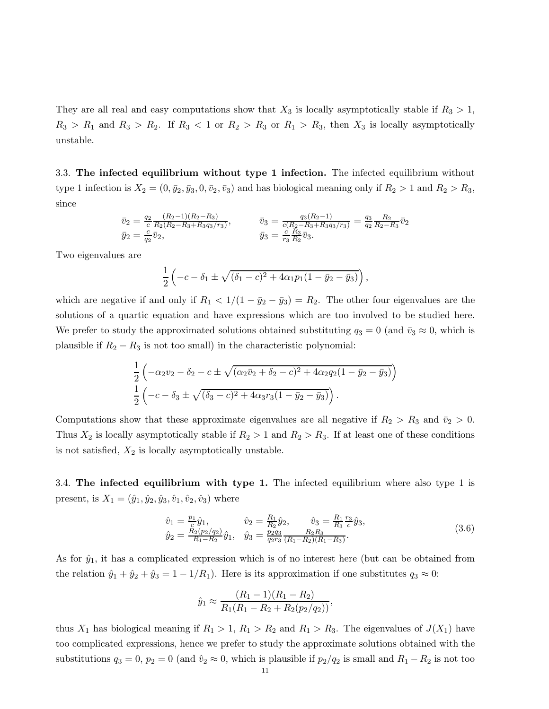They are all real and easy computations show that  $X_3$  is locally asymptotically stable if  $R_3 > 1$ ,  $R_3 > R_1$  and  $R_3 > R_2$ . If  $R_3 < 1$  or  $R_2 > R_3$  or  $R_1 > R_3$ , then  $X_3$  is locally asymptotically unstable.

3.3. The infected equilibrium without type 1 infection. The infected equilibrium without type 1 infection is  $X_2 = (0, \bar{y}_2, \bar{y}_3, 0, \bar{v}_2, \bar{v}_3)$  and has biological meaning only if  $R_2 > 1$  and  $R_2 > R_3$ , since

$$
\bar{v}_2 = \frac{q_2}{c} \frac{(R_2 - 1)(R_2 - R_3)}{R_2(R_2 - R_3 + R_3 q_3 / r_3)}, \qquad \bar{v}_3 = \frac{q_3(R_2 - 1)}{c(R_2 - R_3 + R_3 q_3 / r_3)} = \frac{q_3}{q_2} \frac{R_2}{R_2 - R_3} \bar{v}_2
$$
\n
$$
\bar{y}_2 = \frac{c}{q_2} \bar{v}_2,
$$
\n
$$
\bar{y}_3 = \frac{c}{r_3} \frac{R_3}{R_2} \bar{v}_3.
$$

Two eigenvalues are

$$
\frac{1}{2}\left(-c - \delta_1 \pm \sqrt{(\delta_1 - c)^2 + 4\alpha_1 p_1(1 - \bar{y}_2 - \bar{y}_3)}\right),\,
$$

which are negative if and only if  $R_1 < 1/(1 - \bar{y}_2 - \bar{y}_3) = R_2$ . The other four eigenvalues are the solutions of a quartic equation and have expressions which are too involved to be studied here. We prefer to study the approximated solutions obtained substituting  $q_3 = 0$  (and  $\bar{v}_3 \approx 0$ , which is plausible if  $R_2 - R_3$  is not too small) in the characteristic polynomial:

$$
\frac{1}{2}\left(-\alpha_2v_2 - \delta_2 - c \pm \sqrt{(\alpha_2\bar{v}_2 + \delta_2 - c)^2 + 4\alpha_2q_2(1 - \bar{y}_2 - \bar{y}_3)}\right)
$$
  

$$
\frac{1}{2}\left(-c - \delta_3 \pm \sqrt{(\delta_3 - c)^2 + 4\alpha_3r_3(1 - \bar{y}_2 - \bar{y}_3)}\right).
$$

Computations show that these approximate eigenvalues are all negative if  $R_2 > R_3$  and  $\bar{v}_2 > 0$ . Thus  $X_2$  is locally asymptotically stable if  $R_2 > 1$  and  $R_2 > R_3$ . If at least one of these conditions is not satisfied,  $X_2$  is locally asymptotically unstable.

3.4. The infected equilibrium with type 1. The infected equilibrium where also type 1 is present, is  $X_1 = (\hat{y}_1, \hat{y}_2, \hat{y}_3, \hat{v}_1, \hat{v}_2, \hat{v}_3)$  where

<span id="page-10-0"></span>
$$
\hat{v}_1 = \frac{p_1}{c}\hat{y}_1, \qquad \hat{v}_2 = \frac{R_1}{R_2}\hat{y}_2, \qquad \hat{v}_3 = \frac{R_1}{R_3}\hat{y}_3, \n\hat{y}_2 = \frac{R_2(p_2/q_2)}{R_1 - R_2}\hat{y}_1, \quad \hat{y}_3 = \frac{p_2 q_3}{q_2 r_3} \frac{R_2 R_3}{(R_1 - R_2)(R_1 - R_3)}.
$$
\n(3.6)

As for  $\hat{y}_1$ , it has a complicated expression which is of no interest here (but can be obtained from the relation  $\hat{y}_1 + \hat{y}_2 + \hat{y}_3 = 1 - 1/R_1$ . Here is its approximation if one substitutes  $q_3 \approx 0$ :

$$
\hat{y}_1 \approx \frac{(R_1 - 1)(R_1 - R_2)}{R_1(R_1 - R_2 + R_2(p_2/q_2))},
$$

thus  $X_1$  has biological meaning if  $R_1 > 1$ ,  $R_1 > R_2$  and  $R_1 > R_3$ . The eigenvalues of  $J(X_1)$  have too complicated expressions, hence we prefer to study the approximate solutions obtained with the substitutions  $q_3 = 0$ ,  $p_2 = 0$  (and  $\hat{v}_2 \approx 0$ , which is plausible if  $p_2/q_2$  is small and  $R_1 - R_2$  is not too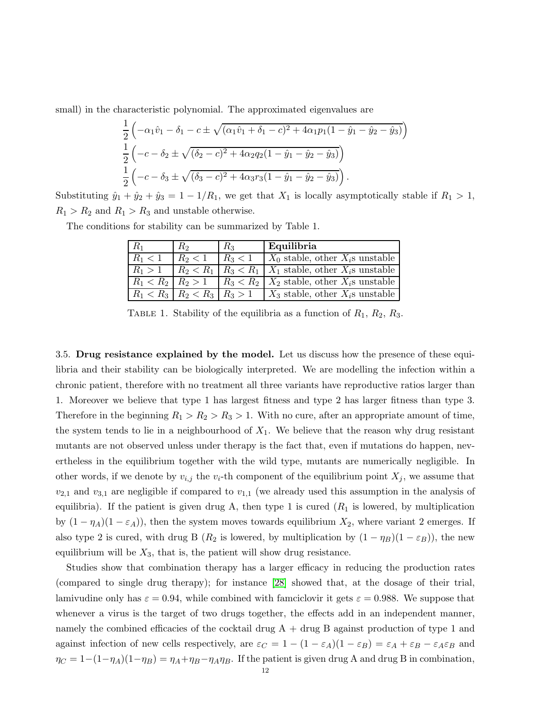small) in the characteristic polynomial. The approximated eigenvalues are

$$
\frac{1}{2}\left(-\alpha_1\hat{v}_1 - \delta_1 - c \pm \sqrt{(\alpha_1\hat{v}_1 + \delta_1 - c)^2 + 4\alpha_1p_1(1 - \hat{y}_1 - \hat{y}_2 - \hat{y}_3)}\right)
$$
  

$$
\frac{1}{2}\left(-c - \delta_2 \pm \sqrt{(\delta_2 - c)^2 + 4\alpha_2q_2(1 - \hat{y}_1 - \hat{y}_2 - \hat{y}_3)}\right)
$$
  

$$
\frac{1}{2}\left(-c - \delta_3 \pm \sqrt{(\delta_3 - c)^2 + 4\alpha_3r_3(1 - \hat{y}_1 - \hat{y}_2 - \hat{y}_3)}\right).
$$

Substituting  $\hat{y}_1 + \hat{y}_2 + \hat{y}_3 = 1 - 1/R_1$ , we get that  $X_1$  is locally asymptotically stable if  $R_1 > 1$ ,  $R_1 > R_2$  and  $R_1 > R_3$  and unstable otherwise.

The conditions for stability can be summarized by Table 1.

| $R_1$                                 | R2          | $R_3$     | Equilibria                                         |
|---------------------------------------|-------------|-----------|----------------------------------------------------|
| $R_1 < 1$                             | $R_2 < 1$   | $R_3 < 1$ | $X_0$ stable, other $X_i$ s unstable               |
| $R_1 > 1$                             | $R_2 < R_1$ |           | $R_3 < R_1$   $X_1$ stable, other $X_i$ s unstable |
| $R_1 < R_2 \mid R_2 > 1$              |             |           | $R_3 < R_2$ $X_2$ stable, other $X_i$ s unstable   |
| $R_1 < R_3$   $R_2 < R_3$   $R_3 > 1$ |             |           | $X_3$ stable, other $X_i$ s unstable               |

TABLE 1. Stability of the equilibria as a function of  $R_1, R_2, R_3$ .

3.5. Drug resistance explained by the model. Let us discuss how the presence of these equilibria and their stability can be biologically interpreted. We are modelling the infection within a chronic patient, therefore with no treatment all three variants have reproductive ratios larger than 1. Moreover we believe that type 1 has largest fitness and type 2 has larger fitness than type 3. Therefore in the beginning  $R_1 > R_2 > R_3 > 1$ . With no cure, after an appropriate amount of time, the system tends to lie in a neighbourhood of  $X_1$ . We believe that the reason why drug resistant mutants are not observed unless under therapy is the fact that, even if mutations do happen, nevertheless in the equilibrium together with the wild type, mutants are numerically negligible. In other words, if we denote by  $v_{i,j}$  the  $v_i$ -th component of the equilibrium point  $X_j$ , we assume that  $v_{2,1}$  and  $v_{3,1}$  are negligible if compared to  $v_{1,1}$  (we already used this assumption in the analysis of equilibria). If the patient is given drug A, then type 1 is cured  $(R_1$  is lowered, by multiplication by  $(1 - \eta_A)(1 - \varepsilon_A)$ , then the system moves towards equilibrium  $X_2$ , where variant 2 emerges. If also type 2 is cured, with drug B ( $R_2$  is lowered, by multiplication by  $(1 - \eta_B)(1 - \varepsilon_B)$ ), the new equilibrium will be  $X_3$ , that is, the patient will show drug resistance.

Studies show that combination therapy has a larger efficacy in reducing the production rates (compared to single drug therapy); for instance [\[28\]](#page-19-14) showed that, at the dosage of their trial, lamivudine only has  $\varepsilon = 0.94$ , while combined with famciclovir it gets  $\varepsilon = 0.988$ . We suppose that whenever a virus is the target of two drugs together, the effects add in an independent manner, namely the combined efficacies of the cocktail drug  $A + d\text{rug } B$  against production of type 1 and against infection of new cells respectively, are  $\varepsilon_C = 1 - (1 - \varepsilon_A)(1 - \varepsilon_B) = \varepsilon_A + \varepsilon_B - \varepsilon_A \varepsilon_B$  and  $\eta_C = 1-(1-\eta_A)(1-\eta_B) = \eta_A+\eta_B-\eta_A\eta_B$ . If the patient is given drug A and drug B in combination,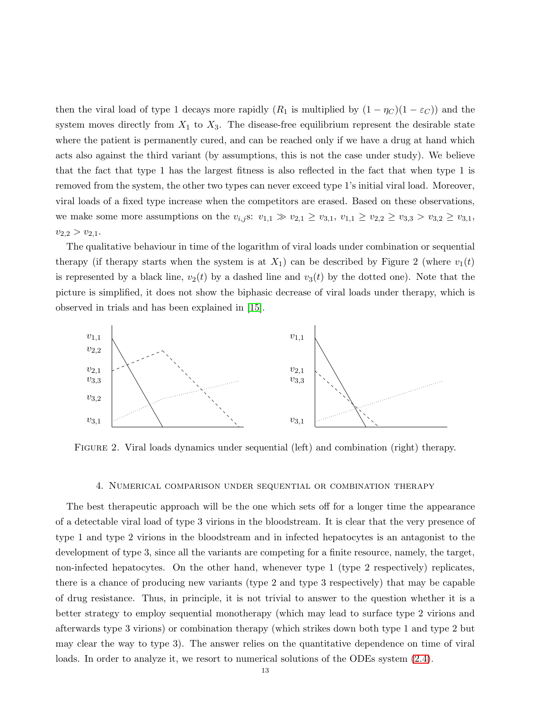then the viral load of type 1 decays more rapidly  $(R_1$  is multiplied by  $(1 - \eta_C)(1 - \varepsilon_C)$  and the system moves directly from  $X_1$  to  $X_3$ . The disease-free equilibrium represent the desirable state where the patient is permanently cured, and can be reached only if we have a drug at hand which acts also against the third variant (by assumptions, this is not the case under study). We believe that the fact that type 1 has the largest fitness is also reflected in the fact that when type 1 is removed from the system, the other two types can never exceed type 1's initial viral load. Moreover, viral loads of a fixed type increase when the competitors are erased. Based on these observations, we make some more assumptions on the  $v_{i,j}$ s:  $v_{1,1} \gg v_{2,1} \ge v_{3,1}$ ,  $v_{1,1} \ge v_{2,2} \ge v_{3,3} > v_{3,2} \ge v_{3,1}$ ,  $v_{2,2} > v_{2,1}.$ 

The qualitative behaviour in time of the logarithm of viral loads under combination or sequential therapy (if therapy starts when the system is at  $X_1$ ) can be described by Figure 2 (where  $v_1(t)$ ) is represented by a black line,  $v_2(t)$  by a dashed line and  $v_3(t)$  by the dotted one). Note that the picture is simplified, it does not show the biphasic decrease of viral loads under therapy, which is observed in trials and has been explained in [\[15\]](#page-19-26).



<span id="page-12-0"></span>Figure 2. Viral loads dynamics under sequential (left) and combination (right) therapy.

#### 4. Numerical comparison under sequential or combination therapy

The best therapeutic approach will be the one which sets off for a longer time the appearance of a detectable viral load of type 3 virions in the bloodstream. It is clear that the very presence of type 1 and type 2 virions in the bloodstream and in infected hepatocytes is an antagonist to the development of type 3, since all the variants are competing for a finite resource, namely, the target, non-infected hepatocytes. On the other hand, whenever type 1 (type 2 respectively) replicates, there is a chance of producing new variants (type 2 and type 3 respectively) that may be capable of drug resistance. Thus, in principle, it is not trivial to answer to the question whether it is a better strategy to employ sequential monotherapy (which may lead to surface type 2 virions and afterwards type 3 virions) or combination therapy (which strikes down both type 1 and type 2 but may clear the way to type 3). The answer relies on the quantitative dependence on time of viral loads. In order to analyze it, we resort to numerical solutions of the ODEs system  $(2.4)$ .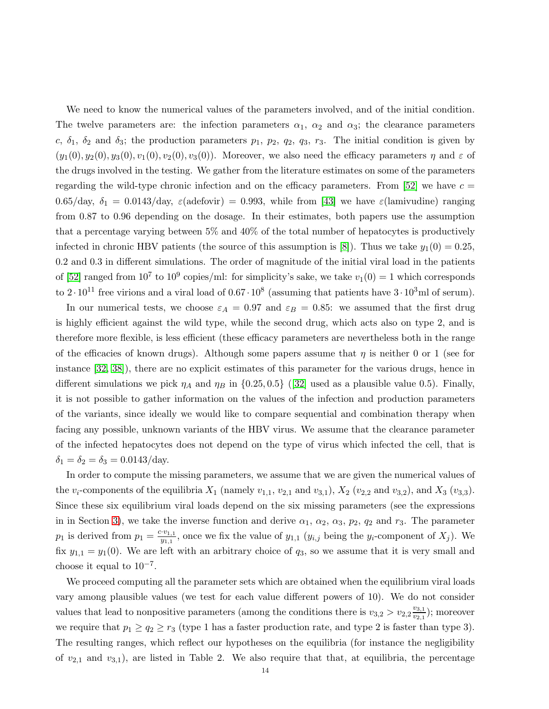We need to know the numerical values of the parameters involved, and of the initial condition. The twelve parameters are: the infection parameters  $\alpha_1$ ,  $\alpha_2$  and  $\alpha_3$ ; the clearance parameters c,  $\delta_1$ ,  $\delta_2$  and  $\delta_3$ ; the production parameters  $p_1$ ,  $p_2$ ,  $q_3$ ,  $r_3$ . The initial condition is given by  $(y_1(0), y_2(0), y_3(0), v_1(0), v_2(0), v_3(0))$ . Moreover, we also need the efficacy parameters  $\eta$  and  $\varepsilon$  of the drugs involved in the testing. We gather from the literature estimates on some of the parameters regarding the wild-type chronic infection and on the efficacy parameters. From [\[52\]](#page-20-8) we have  $c =$ 0.65/day,  $\delta_1 = 0.0143/\text{day}$ ,  $\varepsilon(\text{adefovir}) = 0.993$ , while from [\[43\]](#page-20-7) we have  $\varepsilon(\text{lamivudine})$  ranging from 0.87 to 0.96 depending on the dosage. In their estimates, both papers use the assumption that a percentage varying between 5% and 40% of the total number of hepatocytes is productively infected in chronic HBV patients (the source of this assumption is [\[8\]](#page-18-7)). Thus we take  $y_1(0) = 0.25$ , 0.2 and 0.3 in different simulations. The order of magnitude of the initial viral load in the patients of [\[52\]](#page-20-8) ranged from  $10^7$  to  $10^9$  copies/ml: for simplicity's sake, we take  $v_1(0) = 1$  which corresponds to  $2 \cdot 10^{11}$  free virions and a viral load of  $0.67 \cdot 10^8$  (assuming that patients have  $3 \cdot 10^3$ ml of serum).

In our numerical tests, we choose  $\varepsilon_A = 0.97$  and  $\varepsilon_B = 0.85$ : we assumed that the first drug is highly efficient against the wild type, while the second drug, which acts also on type 2, and is therefore more flexible, is less efficient (these efficacy parameters are nevertheless both in the range of the efficacies of known drugs). Although some papers assume that  $\eta$  is neither 0 or 1 (see for instance [\[32,](#page-19-13) [38\]](#page-19-12)), there are no explicit estimates of this parameter for the various drugs, hence in different simulations we pick  $\eta_A$  and  $\eta_B$  in {0.25, 0.5} ([\[32\]](#page-19-13) used as a plausible value 0.5). Finally, it is not possible to gather information on the values of the infection and production parameters of the variants, since ideally we would like to compare sequential and combination therapy when facing any possible, unknown variants of the HBV virus. We assume that the clearance parameter of the infected hepatocytes does not depend on the type of virus which infected the cell, that is  $\delta_1 = \delta_2 = \delta_3 = 0.0143/day.$ 

In order to compute the missing parameters, we assume that we are given the numerical values of the  $v_i$ -components of the equilibria  $X_1$  (namely  $v_{1,1}$ ,  $v_{2,1}$  and  $v_{3,1}$ ),  $X_2$  ( $v_{2,2}$  and  $v_{3,2}$ ), and  $X_3$  ( $v_{3,3}$ ). Since these six equilibrium viral loads depend on the six missing parameters (see the expressions in in Section [3\)](#page-8-1), we take the inverse function and derive  $\alpha_1$ ,  $\alpha_2$ ,  $\alpha_3$ ,  $p_2$ ,  $q_2$  and  $r_3$ . The parameter  $p_1$  is derived from  $p_1 = \frac{c \cdot v_{1,1}}{v_{1,1}}$  $y_{1,1}^{y_{1,1}}$ , once we fix the value of  $y_{1,1}$   $(y_{i,j}$  being the  $y_i$ -component of  $X_j$ ). We fix  $y_{1,1} = y_1(0)$ . We are left with an arbitrary choice of  $q_3$ , so we assume that it is very small and choose it equal to  $10^{-7}$ .

We proceed computing all the parameter sets which are obtained when the equilibrium viral loads vary among plausible values (we test for each value different powers of 10). We do not consider values that lead to nonpositive parameters (among the conditions there is  $v_{3,2} > v_{2,2} \frac{v_{3,1}}{v_{2,1}}$  $\frac{v_{3,1}}{v_{2,1}}$ ); moreover we require that  $p_1 \geq q_2 \geq r_3$  (type 1 has a faster production rate, and type 2 is faster than type 3). The resulting ranges, which reflect our hypotheses on the equilibria (for instance the negligibility of  $v_{2,1}$  and  $v_{3,1}$ ), are listed in Table 2. We also require that that, at equilibria, the percentage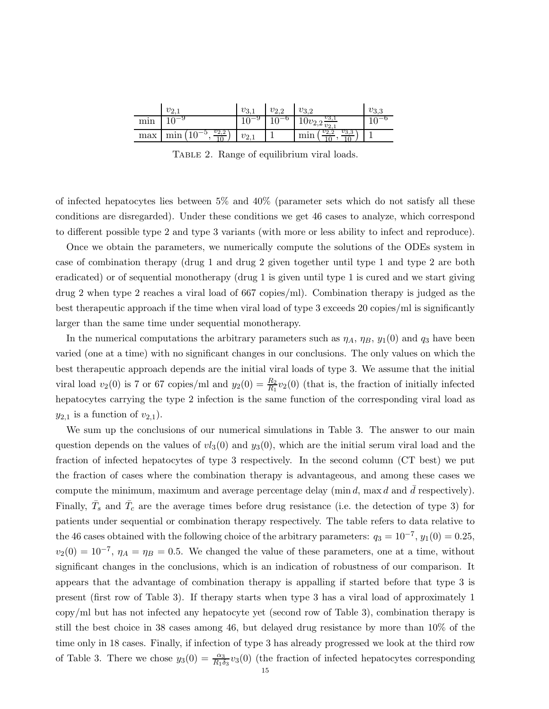|     | V2                      | v <sub>3</sub> | $v_{2,2}$ | $v_{3,2}$                                      | $v_{3,3}$ |
|-----|-------------------------|----------------|-----------|------------------------------------------------|-----------|
| min |                         | v              |           | $v_{\overline{3,1}}$<br>$10^{U_2}$ , $v_{2,1}$ |           |
| max | $v_{2,2}$<br>mir<br>— ⊖ |                |           | $v_{3,\sigma}$                                 |           |

TABLE 2. Range of equilibrium viral loads.

of infected hepatocytes lies between 5% and 40% (parameter sets which do not satisfy all these conditions are disregarded). Under these conditions we get 46 cases to analyze, which correspond to different possible type 2 and type 3 variants (with more or less ability to infect and reproduce).

Once we obtain the parameters, we numerically compute the solutions of the ODEs system in case of combination therapy (drug 1 and drug 2 given together until type 1 and type 2 are both eradicated) or of sequential monotherapy (drug 1 is given until type 1 is cured and we start giving drug 2 when type 2 reaches a viral load of 667 copies/ml). Combination therapy is judged as the best therapeutic approach if the time when viral load of type 3 exceeds 20 copies/ml is significantly larger than the same time under sequential monotherapy.

In the numerical computations the arbitrary parameters such as  $\eta_A$ ,  $\eta_B$ ,  $y_1(0)$  and  $q_3$  have been varied (one at a time) with no significant changes in our conclusions. The only values on which the best therapeutic approach depends are the initial viral loads of type 3. We assume that the initial viral load  $v_2(0)$  is 7 or 67 copies/ml and  $y_2(0) = \frac{R_2}{R_1}v_2(0)$  (that is, the fraction of initially infected hepatocytes carrying the type 2 infection is the same function of the corresponding viral load as  $y_{2,1}$  is a function of  $v_{2,1}$ ).

We sum up the conclusions of our numerical simulations in Table 3. The answer to our main question depends on the values of  $vl_3(0)$  and  $y_3(0)$ , which are the initial serum viral load and the fraction of infected hepatocytes of type 3 respectively. In the second column (CT best) we put the fraction of cases where the combination therapy is advantageous, and among these cases we compute the minimum, maximum and average percentage delay (min d, max d and d respectively). Finally,  $\bar{T}_s$  and  $\bar{T}_c$  are the average times before drug resistance (i.e. the detection of type 3) for patients under sequential or combination therapy respectively. The table refers to data relative to the 46 cases obtained with the following choice of the arbitrary parameters:  $q_3 = 10^{-7}$ ,  $y_1(0) = 0.25$ ,  $v_2(0) = 10^{-7}$ ,  $\eta_A = \eta_B = 0.5$ . We changed the value of these parameters, one at a time, without significant changes in the conclusions, which is an indication of robustness of our comparison. It appears that the advantage of combination therapy is appalling if started before that type 3 is present (first row of Table 3). If therapy starts when type 3 has a viral load of approximately 1 copy/ml but has not infected any hepatocyte yet (second row of Table 3), combination therapy is still the best choice in 38 cases among 46, but delayed drug resistance by more than 10% of the time only in 18 cases. Finally, if infection of type 3 has already progressed we look at the third row of Table 3. There we chose  $y_3(0) = \frac{\alpha_3}{R_1 \delta_3} v_3(0)$  (the fraction of infected hepatocytes corresponding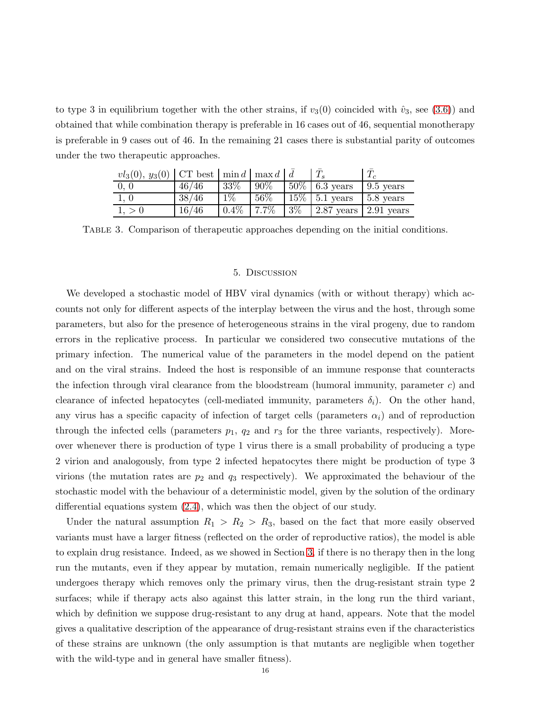to type 3 in equilibrium together with the other strains, if  $v_3(0)$  coincided with  $\hat{v}_3$ , see [\(3.6\)](#page-10-0)) and obtained that while combination therapy is preferable in 16 cases out of 46, sequential monotherapy is preferable in 9 cases out of 46. In the remaining 21 cases there is substantial parity of outcomes under the two therapeutic approaches.

| $vl_3(0), y_3(0)$   CT best   min d   max d   $\bar{d}$ |       |       |         |       |                             |                   |
|---------------------------------------------------------|-------|-------|---------|-------|-----------------------------|-------------------|
| 0, 0                                                    | 46/46 | 33\%  | 90%     |       | $50\%$ 6.3 years            | $\pm 9.5$ years   |
| 1, 0                                                    | 38/46 | $1\%$ | $56\%$  |       | $15\%$ 5.1 years            | $\vert$ 5.8 years |
| 1. > 0                                                  | 16/46 | 0.4%  | $7.7\%$ | $3\%$ | $2.87$ years   $2.91$ years |                   |

<span id="page-15-0"></span>Table 3. Comparison of therapeutic approaches depending on the initial conditions.

### 5. Discussion

We developed a stochastic model of HBV viral dynamics (with or without therapy) which accounts not only for different aspects of the interplay between the virus and the host, through some parameters, but also for the presence of heterogeneous strains in the viral progeny, due to random errors in the replicative process. In particular we considered two consecutive mutations of the primary infection. The numerical value of the parameters in the model depend on the patient and on the viral strains. Indeed the host is responsible of an immune response that counteracts the infection through viral clearance from the bloodstream (humoral immunity, parameter  $c$ ) and clearance of infected hepatocytes (cell-mediated immunity, parameters  $\delta_i$ ). On the other hand, any virus has a specific capacity of infection of target cells (parameters  $\alpha_i$ ) and of reproduction through the infected cells (parameters  $p_1$ ,  $q_2$  and  $r_3$  for the three variants, respectively). Moreover whenever there is production of type 1 virus there is a small probability of producing a type 2 virion and analogously, from type 2 infected hepatocytes there might be production of type 3 virions (the mutation rates are  $p_2$  and  $q_3$  respectively). We approximated the behaviour of the stochastic model with the behaviour of a deterministic model, given by the solution of the ordinary differential equations system [\(2.4\)](#page-8-0), which was then the object of our study.

Under the natural assumption  $R_1 > R_2 > R_3$ , based on the fact that more easily observed variants must have a larger fitness (reflected on the order of reproductive ratios), the model is able to explain drug resistance. Indeed, as we showed in Section [3,](#page-8-1) if there is no therapy then in the long run the mutants, even if they appear by mutation, remain numerically negligible. If the patient undergoes therapy which removes only the primary virus, then the drug-resistant strain type 2 surfaces; while if therapy acts also against this latter strain, in the long run the third variant, which by definition we suppose drug-resistant to any drug at hand, appears. Note that the model gives a qualitative description of the appearance of drug-resistant strains even if the characteristics of these strains are unknown (the only assumption is that mutants are negligible when together with the wild-type and in general have smaller fitness).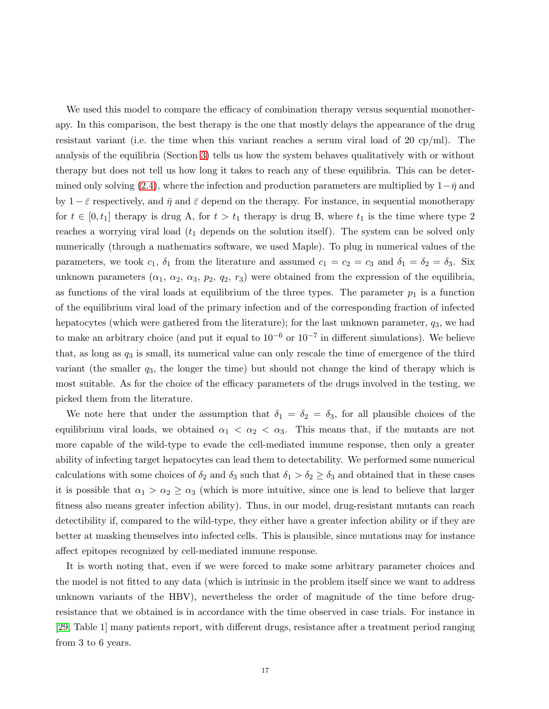We used this model to compare the efficacy of combination therapy versus sequential monotherapy. In this comparison, the best therapy is the one that mostly delays the appearance of the drug resistant variant (i.e. the time when this variant reaches a serum viral load of 20 cp/ml). The analysis of the equilibria (Section [3\)](#page-8-1) tells us how the system behaves qualitatively with or without therapy but does not tell us how long it takes to reach any of these equilibria. This can be deter-mined only solving [\(2.4\)](#page-8-0), where the infection and production parameters are multiplied by  $1-\bar{\eta}$  and by  $1 - \bar{\varepsilon}$  respectively, and  $\bar{\eta}$  and  $\bar{\varepsilon}$  depend on the therapy. For instance, in sequential monotherapy for  $t \in [0, t_1]$  therapy is drug A, for  $t > t_1$  therapy is drug B, where  $t_1$  is the time where type 2 reaches a worrying viral load  $(t_1$  depends on the solution itself). The system can be solved only numerically (through a mathematics software, we used Maple). To plug in numerical values of the parameters, we took  $c_1$ ,  $\delta_1$  from the literature and assumed  $c_1 = c_2 = c_3$  and  $\delta_1 = \delta_2 = \delta_3$ . Six unknown parameters  $(\alpha_1, \alpha_2, \alpha_3, p_2, q_2, r_3)$  were obtained from the expression of the equilibria, as functions of the viral loads at equilibrium of the three types. The parameter  $p_1$  is a function of the equilibrium viral load of the primary infection and of the corresponding fraction of infected hepatocytes (which were gathered from the literature); for the last unknown parameter,  $q_3$ , we had to make an arbitrary choice (and put it equal to  $10^{-6}$  or  $10^{-7}$  in different simulations). We believe that, as long as  $q_3$  is small, its numerical value can only rescale the time of emergence of the third variant (the smaller  $q_3$ , the longer the time) but should not change the kind of therapy which is most suitable. As for the choice of the efficacy parameters of the drugs involved in the testing, we picked them from the literature.

We note here that under the assumption that  $\delta_1 = \delta_2 = \delta_3$ , for all plausible choices of the equilibrium viral loads, we obtained  $\alpha_1 < \alpha_2 < \alpha_3$ . This means that, if the mutants are not more capable of the wild-type to evade the cell-mediated immune response, then only a greater ability of infecting target hepatocytes can lead them to detectability. We performed some numerical calculations with some choices of  $\delta_2$  and  $\delta_3$  such that  $\delta_1 > \delta_2 \ge \delta_3$  and obtained that in these cases it is possible that  $\alpha_1 > \alpha_2 \ge \alpha_3$  (which is more intuitive, since one is lead to believe that larger fitness also means greater infection ability). Thus, in our model, drug-resistant mutants can reach detectibility if, compared to the wild-type, they either have a greater infection ability or if they are better at masking themselves into infected cells. This is plausible, since mutations may for instance affect epitopes recognized by cell-mediated immune response.

It is worth noting that, even if we were forced to make some arbitrary parameter choices and the model is not fitted to any data (which is intrinsic in the problem itself since we want to address unknown variants of the HBV), nevertheless the order of magnitude of the time before drugresistance that we obtained is in accordance with the time observed in case trials. For instance in [\[29,](#page-19-27) Table 1] many patients report, with different drugs, resistance after a treatment period ranging from 3 to 6 years.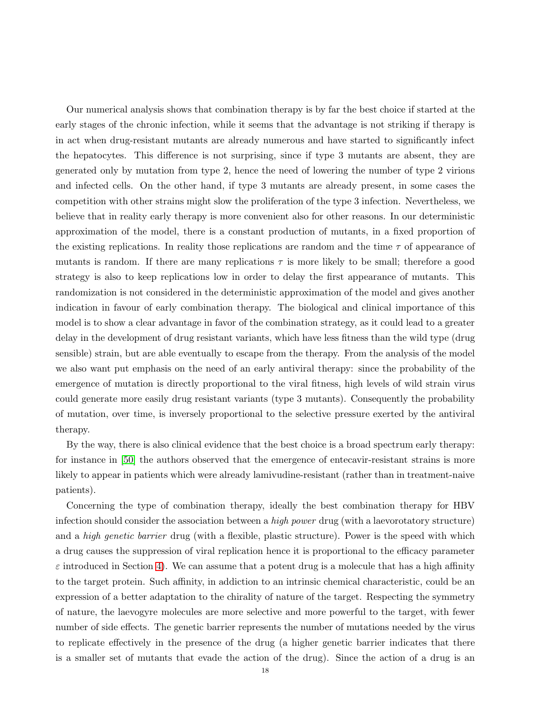Our numerical analysis shows that combination therapy is by far the best choice if started at the early stages of the chronic infection, while it seems that the advantage is not striking if therapy is in act when drug-resistant mutants are already numerous and have started to significantly infect the hepatocytes. This difference is not surprising, since if type 3 mutants are absent, they are generated only by mutation from type 2, hence the need of lowering the number of type 2 virions and infected cells. On the other hand, if type 3 mutants are already present, in some cases the competition with other strains might slow the proliferation of the type 3 infection. Nevertheless, we believe that in reality early therapy is more convenient also for other reasons. In our deterministic approximation of the model, there is a constant production of mutants, in a fixed proportion of the existing replications. In reality those replications are random and the time  $\tau$  of appearance of mutants is random. If there are many replications  $\tau$  is more likely to be small; therefore a good strategy is also to keep replications low in order to delay the first appearance of mutants. This randomization is not considered in the deterministic approximation of the model and gives another indication in favour of early combination therapy. The biological and clinical importance of this model is to show a clear advantage in favor of the combination strategy, as it could lead to a greater delay in the development of drug resistant variants, which have less fitness than the wild type (drug sensible) strain, but are able eventually to escape from the therapy. From the analysis of the model we also want put emphasis on the need of an early antiviral therapy: since the probability of the emergence of mutation is directly proportional to the viral fitness, high levels of wild strain virus could generate more easily drug resistant variants (type 3 mutants). Consequently the probability of mutation, over time, is inversely proportional to the selective pressure exerted by the antiviral therapy.

By the way, there is also clinical evidence that the best choice is a broad spectrum early therapy: for instance in [\[50\]](#page-20-18) the authors observed that the emergence of entecavir-resistant strains is more likely to appear in patients which were already lamivudine-resistant (rather than in treatment-naive patients).

Concerning the type of combination therapy, ideally the best combination therapy for HBV infection should consider the association between a *high power* drug (with a laevorotatory structure) and a *high genetic barrier* drug (with a flexible, plastic structure). Power is the speed with which a drug causes the suppression of viral replication hence it is proportional to the efficacy parameter  $\varepsilon$  introduced in Section [4\)](#page-12-0). We can assume that a potent drug is a molecule that has a high affinity to the target protein. Such affinity, in addiction to an intrinsic chemical characteristic, could be an expression of a better adaptation to the chirality of nature of the target. Respecting the symmetry of nature, the laevogyre molecules are more selective and more powerful to the target, with fewer number of side effects. The genetic barrier represents the number of mutations needed by the virus to replicate effectively in the presence of the drug (a higher genetic barrier indicates that there is a smaller set of mutants that evade the action of the drug). Since the action of a drug is an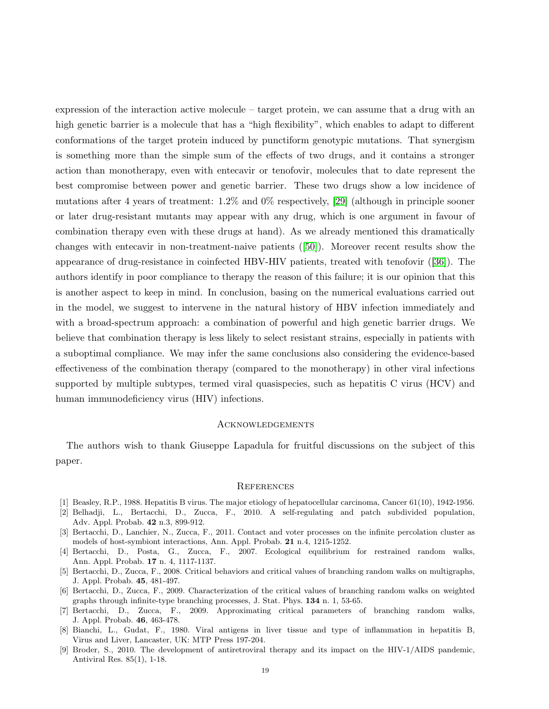expression of the interaction active molecule – target protein, we can assume that a drug with an high genetic barrier is a molecule that has a "high flexibility", which enables to adapt to different conformations of the target protein induced by punctiform genotypic mutations. That synergism is something more than the simple sum of the effects of two drugs, and it contains a stronger action than monotherapy, even with entecavir or tenofovir, molecules that to date represent the best compromise between power and genetic barrier. These two drugs show a low incidence of mutations after 4 years of treatment: 1.2% and 0% respectively, [\[29\]](#page-19-27) (although in principle sooner or later drug-resistant mutants may appear with any drug, which is one argument in favour of combination therapy even with these drugs at hand). As we already mentioned this dramatically changes with entecavir in non-treatment-naive patients ([\[50\]](#page-20-18)). Moreover recent results show the appearance of drug-resistance in coinfected HBV-HIV patients, treated with tenofovir ([\[36\]](#page-19-28)). The authors identify in poor compliance to therapy the reason of this failure; it is our opinion that this is another aspect to keep in mind. In conclusion, basing on the numerical evaluations carried out in the model, we suggest to intervene in the natural history of HBV infection immediately and with a broad-spectrum approach: a combination of powerful and high genetic barrier drugs. We believe that combination therapy is less likely to select resistant strains, especially in patients with a suboptimal compliance. We may infer the same conclusions also considering the evidence-based effectiveness of the combination therapy (compared to the monotherapy) in other viral infections supported by multiple subtypes, termed viral quasispecies, such as hepatitis C virus (HCV) and human immunodeficiency virus (HIV) infections.

#### Acknowledgements

The authors wish to thank Giuseppe Lapadula for fruitful discussions on the subject of this paper.

#### **REFERENCES**

- <span id="page-18-4"></span><span id="page-18-0"></span>[1] Beasley, R.P., 1988. Hepatitis B virus. The major etiology of hepatocellular carcinoma, Cancer 61(10), 1942-1956.
- [2] Belhadji, L., Bertacchi, D., Zucca, F., 2010. A self-regulating and patch subdivided population, Adv. Appl. Probab. 42 n.3, 899-912.
- <span id="page-18-5"></span>[3] Bertacchi, D., Lanchier, N., Zucca, F., 2011. Contact and voter processes on the infinite percolation cluster as models of host-symbiont interactions, Ann. Appl. Probab. 21 n.4, 1215-1252.
- <span id="page-18-6"></span>[4] Bertacchi, D., Posta, G., Zucca, F., 2007. Ecological equilibrium for restrained random walks, Ann. Appl. Probab. 17 n. 4, 1117-1137.
- <span id="page-18-2"></span>[5] Bertacchi, D., Zucca, F., 2008. Critical behaviors and critical values of branching random walks on multigraphs, J. Appl. Probab. 45, 481-497.
- <span id="page-18-3"></span>[6] Bertacchi, D., Zucca, F., 2009. Characterization of the critical values of branching random walks on weighted graphs through infinite-type branching processes, J. Stat. Phys. 134 n. 1, 53-65.
- [7] Bertacchi, D., Zucca, F., 2009. Approximating critical parameters of branching random walks, J. Appl. Probab. 46, 463-478.
- <span id="page-18-7"></span>[8] Bianchi, L., Gudat, F., 1980. Viral antigens in liver tissue and type of inflammation in hepatitis B, Virus and Liver, Lancaster, UK: MTP Press 197-204.
- <span id="page-18-1"></span>[9] Broder, S., 2010. The development of antiretroviral therapy and its impact on the HIV-1/AIDS pandemic, Antiviral Res. 85(1), 1-18.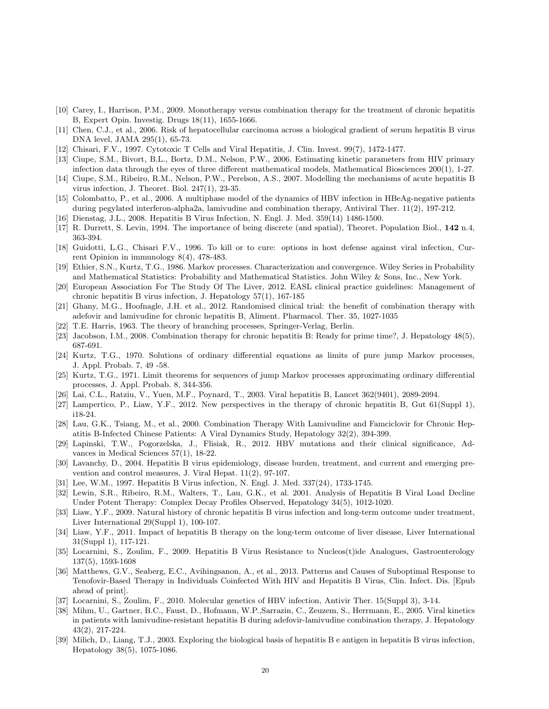- <span id="page-19-8"></span><span id="page-19-5"></span>[10] Carey, I., Harrison, P.M., 2009. Monotherapy versus combination therapy for the treatment of chronic hepatitis B, Expert Opin. Investig. Drugs 18(11), 1655-1666.
- <span id="page-19-20"></span>[11] Chen, C.J., et al., 2006. Risk of hepatocellular carcinoma across a biological gradient of serum hepatitis B virus DNA level, JAMA 295(1), 65-73.
- <span id="page-19-15"></span>[12] Chisari, F.V., 1997. Cytotoxic T Cells and Viral Hepatitis, J. Clin. Invest. 99(7), 1472-1477.
- [13] Ciupe, S.M., Bivort, B.L., Bortz, D.M., Nelson, P.W., 2006. Estimating kinetic parameters from HIV primary infection data through the eyes of three different mathematical models, Mathematical Biosciences 200(1), 1-27.
- <span id="page-19-26"></span><span id="page-19-16"></span>[14] Ciupe, S.M., Ribeiro, R.M., Nelson, P.W., Perelson, A.S., 2007. Modelling the mechanisms of acute hepatitis B virus infection, J. Theoret. Biol. 247(1), 23-35.
- [15] Colombatto, P., et al., 2006. A multiphase model of the dynamics of HBV infection in HBeAg-negative patients during pegylated interferon-alpha2a, lamivudine and combination therapy, Antiviral Ther. 11(2), 197-212.
- <span id="page-19-19"></span><span id="page-19-4"></span>[16] Dienstag, J.L., 2008. Hepatitis B Virus Infection, N. Engl. J. Med. 359(14) 1486-1500.
- <span id="page-19-21"></span>[17] R. Durrett, S. Levin, 1994. The importance of being discrete (and spatial), Theoret. Population Biol., 142 n.4, 363-394.
- [18] Guidotti, L.G., Chisari F.V., 1996. To kill or to cure: options in host defense against viral infection, Current Opinion in immunology 8(4), 478-483.
- <span id="page-19-25"></span>[19] Ethier, S.N., Kurtz, T.G., 1986. Markov processes. Characterization and convergence. Wiley Series in Probability and Mathematical Statistics: Probability and Mathematical Statistics. John Wiley & Sons, Inc., New York.
- <span id="page-19-6"></span>[20] European Association For The Study Of The Liver, 2012. EASL clinical practice guidelines: Management of chronic hepatitis B virus infection, J. Hepatology 57(1), 167-185
- <span id="page-19-10"></span>[21] Ghany, M.G., Hoofnagle, J.H. et al., 2012. Randomised clinical trial: the benefit of combination therapy with adefovir and lamivudine for chronic hepatitis B, Aliment. Pharmacol. Ther. 35, 1027-1035
- <span id="page-19-18"></span><span id="page-19-9"></span>[22] T.E. Harris, 1963. The theory of branching processes, Springer-Verlag, Berlin.
- <span id="page-19-23"></span>[23] Jacobson, I.M., 2008. Combination therapy for chronic hepatitis B: Ready for prime time?, J. Hepatology 48(5), 687-691.
- [24] Kurtz, T.G., 1970. Solutions of ordinary differential equations as limits of pure jump Markov processes, J. Appl. Probab. 7, 49 -58.
- <span id="page-19-24"></span>[25] Kurtz, T.G., 1971. Limit theorems for sequences of jump Markov processes approximating ordinary differential processes, J. Appl. Probab. 8, 344-356.
- <span id="page-19-7"></span><span id="page-19-1"></span>[26] Lai, C.L., Ratziu, V., Yuen, M.F., Poynard, T., 2003. Viral hepatitis B, Lancet 362(9401), 2089-2094.
- <span id="page-19-14"></span>[27] Lampertico, P., Liaw, Y.F., 2012. New perspectives in the therapy of chronic hepatitis B, Gut 61(Suppl 1), i18-24.
- [28] Lau, G.K., Tsiang, M., et al., 2000. Combination Therapy With Lamivudine and Famciclovir for Chronic Hepatitis B-Infected Chinese Patients: A Viral Dynamics Study, Hepatology 32(2), 394-399.
- <span id="page-19-27"></span>[29] Lapinski, T.W., Pogorzelska, J., Flisiak, R., 2012. HBV mutations and their clinical significance, Advances in Medical Sciences 57(1), 18-22.
- <span id="page-19-0"></span>[30] Lavanchy, D., 2004. Hepatitis B virus epidemiology, disease burden, treatment, and current and emerging prevention and control measures, J. Viral Hepat. 11(2), 97-107.
- <span id="page-19-22"></span><span id="page-19-13"></span>[31] Lee, W.M., 1997. Hepatitis B Virus infection, N. Engl. J. Med. 337(24), 1733-1745.
- [32] Lewin, S.R., Ribeiro, R.M., Walters, T., Lau, G.K., et al. 2001. Analysis of Hepatitis B Viral Load Decline Under Potent Therapy: Complex Decay Profiles Observed, Hepatology 34(5), 1012-1020.
- <span id="page-19-3"></span>[33] Liaw, Y.F., 2009. Natural history of chronic hepatitis B virus infection and long-term outcome under treatment, Liver International 29(Suppl 1), 100-107.
- <span id="page-19-2"></span>[34] Liaw, Y.F., 2011. Impact of hepatitis B therapy on the long-term outcome of liver disease, Liver International 31(Suppl 1), 117-121.
- <span id="page-19-17"></span>[35] Locarnini, S., Zoulim, F., 2009. Hepatitis B Virus Resistance to Nucleos(t)ide Analogues, Gastroenterology 137(5), 1593-1608
- <span id="page-19-28"></span>[36] Matthews, G.V., Seaberg, E.C., Avihingsanon, A., et al., 2013. Patterns and Causes of Suboptimal Response to Tenofovir-Based Therapy in Individuals Coinfected With HIV and Hepatitis B Virus, Clin. Infect. Dis. [Epub ahead of print].
- <span id="page-19-12"></span><span id="page-19-11"></span>[37] Locarnini, S., Zoulim, F., 2010. Molecular genetics of HBV infection, Antivir Ther. 15(Suppl 3), 3-14.
- [38] Mihm, U., Gartner, B.C., Faust, D., Hofmann, W.P.,Sarrazin, C., Zeuzem, S., Herrmann, E., 2005. Viral kinetics in patients with lamivudine-resistant hepatitis B during adefovir-lamivudine combination therapy, J. Hepatology 43(2), 217-224.
- [39] Milich, D., Liang, T.J., 2003. Exploring the biological basis of hepatitis B e antigen in hepatitis B virus infection, Hepatology 38(5), 1075-1086.